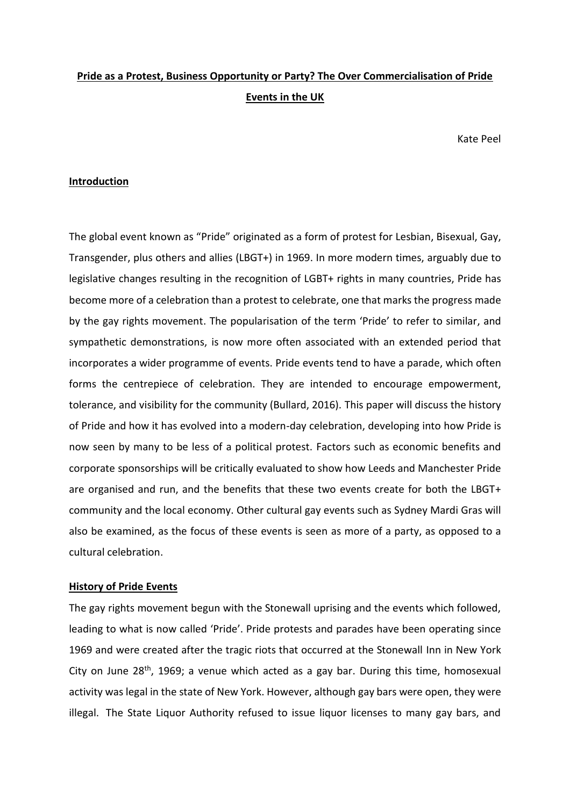# **Pride as a Protest, Business Opportunity or Party? The Over Commercialisation of Pride Events in the UK**

Kate Peel

### **Introduction**

The global event known as "Pride" originated as a form of protest for Lesbian, Bisexual, Gay, Transgender, plus others and allies (LBGT+) in 1969. In more modern times, arguably due to legislative changes resulting in the recognition of LGBT+ rights in many countries, Pride has become more of a celebration than a protest to celebrate, one that marks the progress made by the gay rights movement. The popularisation of the term 'Pride' to refer to similar, and sympathetic demonstrations, is now more often associated with an extended period that incorporates a wider programme of events. Pride events tend to have a parade, which often forms the centrepiece of celebration. They are intended to encourage empowerment, tolerance, and visibility for the community (Bullard, 2016). This paper will discuss the history of Pride and how it has evolved into a modern-day celebration, developing into how Pride is now seen by many to be less of a political protest. Factors such as economic benefits and corporate sponsorships will be critically evaluated to show how Leeds and Manchester Pride are organised and run, and the benefits that these two events create for both the LBGT+ community and the local economy. Other cultural gay events such as Sydney Mardi Gras will also be examined, as the focus of these events is seen as more of a party, as opposed to a cultural celebration.

## **History of Pride Events**

The gay rights movement begun with the Stonewall uprising and the events which followed, leading to what is now called 'Pride'. Pride protests and parades have been operating since 1969 and were created after the tragic riots that occurred at the Stonewall Inn in New York City on June  $28<sup>th</sup>$ , 1969; a venue which acted as a gay bar. During this time, homosexual activity was legal in the state of New York. However, although gay bars were open, they were illegal. The State Liquor Authority refused to issue liquor licenses to many gay bars, and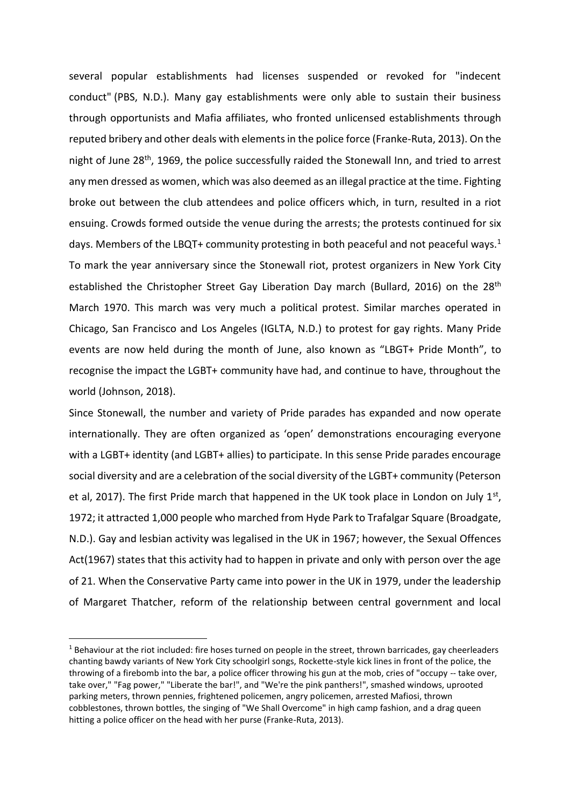several popular establishments had licenses suspended or revoked for "indecent conduct" (PBS, N.D.). Many gay establishments were only able to sustain their business through opportunists and Mafia affiliates, who fronted unlicensed establishments through reputed bribery and other deals with elements in the police force (Franke-Ruta, 2013). On the night of June 28<sup>th</sup>, 1969, the police successfully raided the Stonewall Inn, and tried to arrest any men dressed as women, which was also deemed as an illegal practice at the time. Fighting broke out between the club attendees and police officers which, in turn, resulted in a riot ensuing. Crowds formed outside the venue during the arrests; the protests continued for six days. Members of the LBQT+ community protesting in both peaceful and not peaceful ways.<sup>1</sup> To mark the year anniversary since the Stonewall riot, protest organizers in New York City established the Christopher Street Gay Liberation Day march (Bullard, 2016) on the 28<sup>th</sup> March 1970. This march was very much a political protest. Similar marches operated in Chicago, San Francisco and Los Angeles (IGLTA, N.D.) to protest for gay rights. Many Pride events are now held during the month of June, also known as "LBGT+ Pride Month", to recognise the impact the LGBT+ community have had, and continue to have, throughout the world (Johnson, 2018).

Since Stonewall, the number and variety of Pride parades has expanded and now operate internationally. They are often organized as 'open' demonstrations encouraging everyone with a LGBT+ identity (and LGBT+ allies) to participate. In this sense Pride parades encourage social diversity and are a celebration of the social diversity of the LGBT+ community (Peterson et al, 2017). The first Pride march that happened in the UK took place in London on July  $1<sup>st</sup>$ , 1972; it attracted 1,000 people who marched from Hyde Park to Trafalgar Square (Broadgate, N.D.). Gay and lesbian activity was legalised in the UK in 1967; however, the Sexual Offences Act(1967) states that this activity had to happen in private and only with person over the age of 21. When the Conservative Party came into power in the UK in 1979, under the leadership of Margaret Thatcher, reform of the relationship between central government and local

 $\overline{a}$ 

 $1$  Behaviour at the riot included: fire hoses turned on people in the street, thrown barricades, gay cheerleaders chanting bawdy variants of New York City schoolgirl songs, Rockette-style kick lines in front of the police, the throwing of a firebomb into the bar, a police officer throwing his gun at the mob, cries of "occupy -- take over, take over," "Fag power," "Liberate the bar!", and "We're the pink panthers!", smashed windows, uprooted parking meters, thrown pennies, frightened policemen, angry policemen, arrested Mafiosi, thrown cobblestones, thrown bottles, the singing of "We Shall Overcome" in high camp fashion, and a drag queen hitting a police officer on the head with her purse (Franke-Ruta, 2013).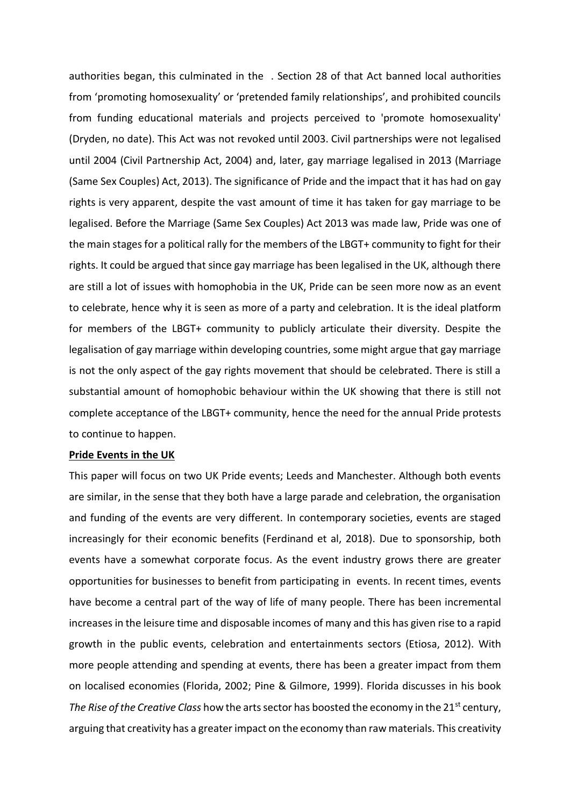authorities began, this culminated in the . Section 28 of that Act banned local authorities from 'promoting homosexuality' or 'pretended family relationships', and prohibited councils from funding educational materials and projects perceived to 'promote homosexuality' (Dryden, no date). This Act was not revoked until 2003. Civil partnerships were not legalised until 2004 (Civil Partnership Act, 2004) and, later, gay marriage legalised in 2013 (Marriage (Same Sex Couples) Act, 2013). The significance of Pride and the impact that it has had on gay rights is very apparent, despite the vast amount of time it has taken for gay marriage to be legalised. Before the Marriage (Same Sex Couples) Act 2013 was made law, Pride was one of the main stages for a political rally for the members of the LBGT+ community to fight for their rights. It could be argued that since gay marriage has been legalised in the UK, although there are still a lot of issues with homophobia in the UK, Pride can be seen more now as an event to celebrate, hence why it is seen as more of a party and celebration. It is the ideal platform for members of the LBGT+ community to publicly articulate their diversity. Despite the legalisation of gay marriage within developing countries, some might argue that gay marriage is not the only aspect of the gay rights movement that should be celebrated. There is still a substantial amount of homophobic behaviour within the UK showing that there is still not complete acceptance of the LBGT+ community, hence the need for the annual Pride protests to continue to happen.

## **Pride Events in the UK**

This paper will focus on two UK Pride events; Leeds and Manchester. Although both events are similar, in the sense that they both have a large parade and celebration, the organisation and funding of the events are very different. In contemporary societies, events are staged increasingly for their economic benefits (Ferdinand et al, 2018). Due to sponsorship, both events have a somewhat corporate focus. As the event industry grows there are greater opportunities for businesses to benefit from participating in events. In recent times, events have become a central part of the way of life of many people. There has been incremental increases in the leisure time and disposable incomes of many and this has given rise to a rapid growth in the public events, celebration and entertainments sectors (Etiosa, 2012). With more people attending and spending at events, there has been a greater impact from them on localised economies (Florida, 2002; Pine & Gilmore, 1999). Florida discusses in his book *The Rise of the Creative Class* how the arts sector has boosted the economy in the 21<sup>st</sup> century, arguing that creativity has a greater impact on the economy than raw materials. This creativity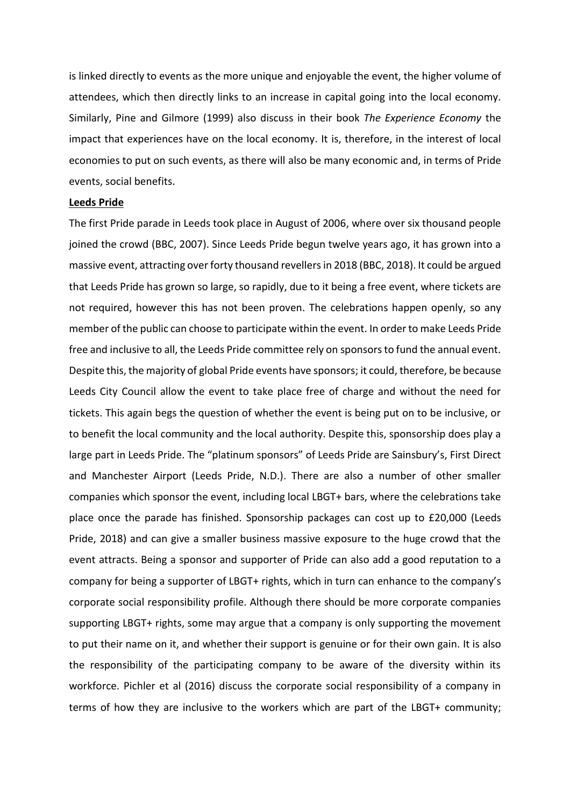is linked directly to events as the more unique and enjoyable the event, the higher volume of attendees, which then directly links to an increase in capital going into the local economy. Similarly, Pine and Gilmore (1999) also discuss in their book *The Experience Economy* the impact that experiences have on the local economy. It is, therefore, in the interest of local economies to put on such events, as there will also be many economic and, in terms of Pride events, social benefits.

#### **Leeds Pride**

The first Pride parade in Leeds took place in August of 2006, where over six thousand people joined the crowd (BBC, 2007). Since Leeds Pride begun twelve years ago, it has grown into a massive event, attracting over forty thousand revellers in 2018 (BBC, 2018). It could be argued that Leeds Pride has grown so large, so rapidly, due to it being a free event, where tickets are not required, however this has not been proven. The celebrations happen openly, so any member of the public can choose to participate within the event. In order to make Leeds Pride free and inclusive to all, the Leeds Pride committee rely on sponsors to fund the annual event. Despite this, the majority of global Pride events have sponsors; it could, therefore, be because Leeds City Council allow the event to take place free of charge and without the need for tickets. This again begs the question of whether the event is being put on to be inclusive, or to benefit the local community and the local authority. Despite this, sponsorship does play a large part in Leeds Pride. The "platinum sponsors" of Leeds Pride are Sainsbury's, First Direct and Manchester Airport (Leeds Pride, N.D.). There are also a number of other smaller companies which sponsor the event, including local LBGT+ bars, where the celebrations take place once the parade has finished. Sponsorship packages can cost up to £20,000 (Leeds Pride, 2018) and can give a smaller business massive exposure to the huge crowd that the event attracts. Being a sponsor and supporter of Pride can also add a good reputation to a company for being a supporter of LBGT+ rights, which in turn can enhance to the company's corporate social responsibility profile. Although there should be more corporate companies supporting LBGT+ rights, some may argue that a company is only supporting the movement to put their name on it, and whether their support is genuine or for their own gain. It is also the responsibility of the participating company to be aware of the diversity within its workforce. Pichler et al (2016) discuss the corporate social responsibility of a company in terms of how they are inclusive to the workers which are part of the LBGT+ community;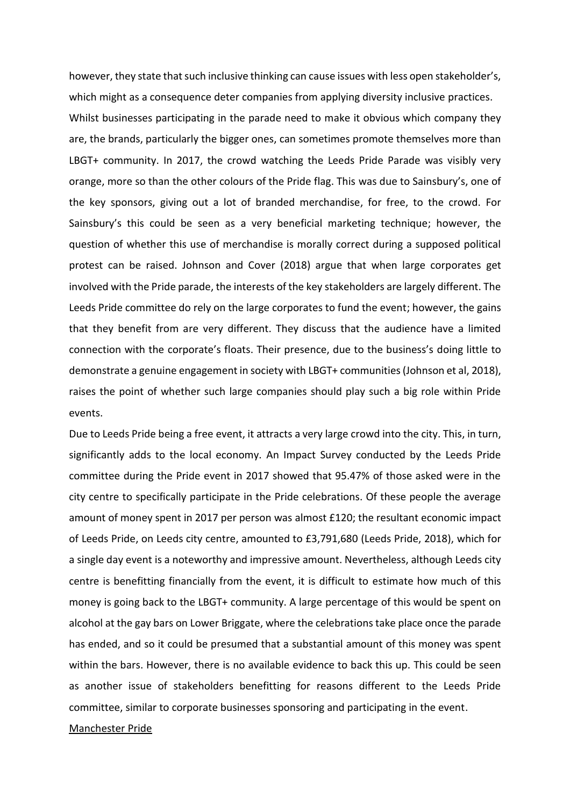however, they state that such inclusive thinking can cause issues with less open stakeholder's, which might as a consequence deter companies from applying diversity inclusive practices. Whilst businesses participating in the parade need to make it obvious which company they are, the brands, particularly the bigger ones, can sometimes promote themselves more than LBGT+ community. In 2017, the crowd watching the Leeds Pride Parade was visibly very orange, more so than the other colours of the Pride flag. This was due to Sainsbury's, one of the key sponsors, giving out a lot of branded merchandise, for free, to the crowd. For Sainsbury's this could be seen as a very beneficial marketing technique; however, the question of whether this use of merchandise is morally correct during a supposed political protest can be raised. Johnson and Cover (2018) argue that when large corporates get involved with the Pride parade, the interests of the key stakeholders are largely different. The Leeds Pride committee do rely on the large corporates to fund the event; however, the gains that they benefit from are very different. They discuss that the audience have a limited connection with the corporate's floats. Their presence, due to the business's doing little to demonstrate a genuine engagement in society with LBGT+ communities (Johnson et al, 2018), raises the point of whether such large companies should play such a big role within Pride events.

Due to Leeds Pride being a free event, it attracts a very large crowd into the city. This, in turn, significantly adds to the local economy. An Impact Survey conducted by the Leeds Pride committee during the Pride event in 2017 showed that 95.47% of those asked were in the city centre to specifically participate in the Pride celebrations. Of these people the average amount of money spent in 2017 per person was almost £120; the resultant economic impact of Leeds Pride, on Leeds city centre, amounted to £3,791,680 (Leeds Pride, 2018), which for a single day event is a noteworthy and impressive amount. Nevertheless, although Leeds city centre is benefitting financially from the event, it is difficult to estimate how much of this money is going back to the LBGT+ community. A large percentage of this would be spent on alcohol at the gay bars on Lower Briggate, where the celebrations take place once the parade has ended, and so it could be presumed that a substantial amount of this money was spent within the bars. However, there is no available evidence to back this up. This could be seen as another issue of stakeholders benefitting for reasons different to the Leeds Pride committee, similar to corporate businesses sponsoring and participating in the event.

#### Manchester Pride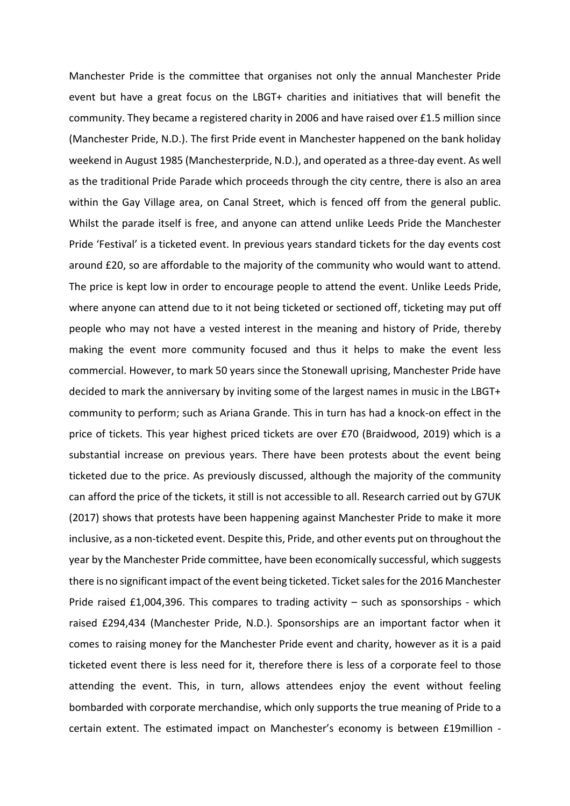Manchester Pride is the committee that organises not only the annual Manchester Pride event but have a great focus on the LBGT+ charities and initiatives that will benefit the community. They became a registered charity in 2006 and have raised over £1.5 million since (Manchester Pride, N.D.). The first Pride event in Manchester happened on the bank holiday weekend in August 1985 (Manchesterpride, N.D.), and operated as a three-day event. As well as the traditional Pride Parade which proceeds through the city centre, there is also an area within the Gay Village area, on Canal Street, which is fenced off from the general public. Whilst the parade itself is free, and anyone can attend unlike Leeds Pride the Manchester Pride 'Festival' is a ticketed event. In previous years standard tickets for the day events cost around £20, so are affordable to the majority of the community who would want to attend. The price is kept low in order to encourage people to attend the event. Unlike Leeds Pride, where anyone can attend due to it not being ticketed or sectioned off, ticketing may put off people who may not have a vested interest in the meaning and history of Pride, thereby making the event more community focused and thus it helps to make the event less commercial. However, to mark 50 years since the Stonewall uprising, Manchester Pride have decided to mark the anniversary by inviting some of the largest names in music in the LBGT+ community to perform; such as Ariana Grande. This in turn has had a knock-on effect in the price of tickets. This year highest priced tickets are over £70 (Braidwood, 2019) which is a substantial increase on previous years. There have been protests about the event being ticketed due to the price. As previously discussed, although the majority of the community can afford the price of the tickets, it still is not accessible to all. Research carried out by G7UK (2017) shows that protests have been happening against Manchester Pride to make it more inclusive, as a non-ticketed event. Despite this, Pride, and other events put on throughout the year by the Manchester Pride committee, have been economically successful, which suggests there is no significant impact of the event being ticketed. Ticket sales for the 2016 Manchester Pride raised £1,004,396. This compares to trading activity  $-$  such as sponsorships - which raised £294,434 (Manchester Pride, N.D.). Sponsorships are an important factor when it comes to raising money for the Manchester Pride event and charity, however as it is a paid ticketed event there is less need for it, therefore there is less of a corporate feel to those attending the event. This, in turn, allows attendees enjoy the event without feeling bombarded with corporate merchandise, which only supports the true meaning of Pride to a certain extent. The estimated impact on Manchester's economy is between £19million -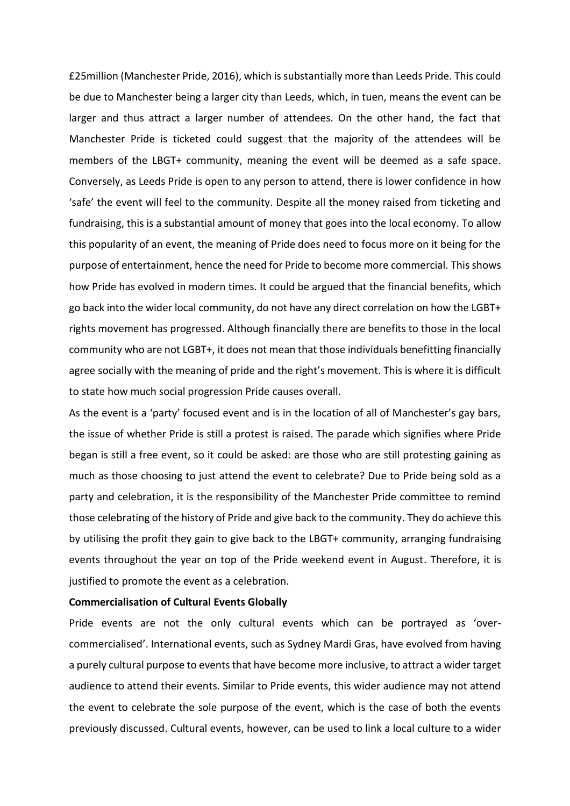£25million (Manchester Pride, 2016), which is substantially more than Leeds Pride. This could be due to Manchester being a larger city than Leeds, which, in tuen, means the event can be larger and thus attract a larger number of attendees. On the other hand, the fact that Manchester Pride is ticketed could suggest that the majority of the attendees will be members of the LBGT+ community, meaning the event will be deemed as a safe space. Conversely, as Leeds Pride is open to any person to attend, there is lower confidence in how 'safe' the event will feel to the community. Despite all the money raised from ticketing and fundraising, this is a substantial amount of money that goes into the local economy. To allow this popularity of an event, the meaning of Pride does need to focus more on it being for the purpose of entertainment, hence the need for Pride to become more commercial. This shows how Pride has evolved in modern times. It could be argued that the financial benefits, which go back into the wider local community, do not have any direct correlation on how the LGBT+ rights movement has progressed. Although financially there are benefits to those in the local community who are not LGBT+, it does not mean that those individuals benefitting financially agree socially with the meaning of pride and the right's movement. This is where it is difficult to state how much social progression Pride causes overall.

As the event is a 'party' focused event and is in the location of all of Manchester's gay bars, the issue of whether Pride is still a protest is raised. The parade which signifies where Pride began is still a free event, so it could be asked: are those who are still protesting gaining as much as those choosing to just attend the event to celebrate? Due to Pride being sold as a party and celebration, it is the responsibility of the Manchester Pride committee to remind those celebrating of the history of Pride and give back to the community. They do achieve this by utilising the profit they gain to give back to the LBGT+ community, arranging fundraising events throughout the year on top of the Pride weekend event in August. Therefore, it is justified to promote the event as a celebration.

# **Commercialisation of Cultural Events Globally**

Pride events are not the only cultural events which can be portrayed as 'overcommercialised'. International events, such as Sydney Mardi Gras, have evolved from having a purely cultural purpose to events that have become more inclusive, to attract a wider target audience to attend their events. Similar to Pride events, this wider audience may not attend the event to celebrate the sole purpose of the event, which is the case of both the events previously discussed. Cultural events, however, can be used to link a local culture to a wider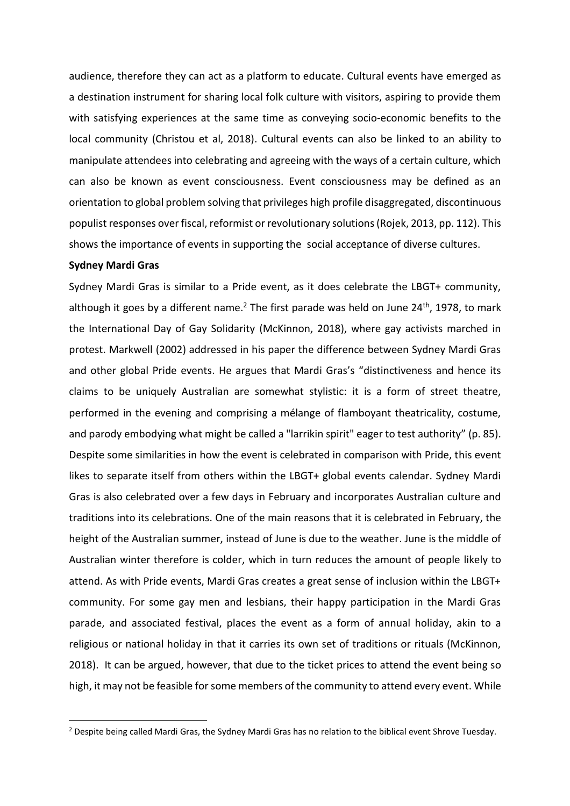audience, therefore they can act as a platform to educate. Cultural events have emerged as a destination instrument for sharing local folk culture with visitors, aspiring to provide them with satisfying experiences at the same time as conveying socio-economic benefits to the local community (Christou et al, 2018). Cultural events can also be linked to an ability to manipulate attendees into celebrating and agreeing with the ways of a certain culture, which can also be known as event consciousness. Event consciousness may be defined as an orientation to global problem solving that privileges high profile disaggregated, discontinuous populist responses over fiscal, reformist or revolutionary solutions (Rojek, 2013, pp. 112). This shows the importance of events in supporting the social acceptance of diverse cultures.

#### **Sydney Mardi Gras**

 $\overline{a}$ 

Sydney Mardi Gras is similar to a Pride event, as it does celebrate the LBGT+ community, although it goes by a different name.<sup>2</sup> The first parade was held on June 24<sup>th</sup>, 1978, to mark the International Day of Gay Solidarity (McKinnon, 2018), where gay activists marched in protest. Markwell (2002) addressed in his paper the difference between Sydney Mardi Gras and other global Pride events. He argues that Mardi Gras's "distinctiveness and hence its claims to be uniquely Australian are somewhat stylistic: it is a form of street theatre, performed in the evening and comprising a mélange of flamboyant theatricality, costume, and parody embodying what might be called a "larrikin spirit" eager to test authority" (p. 85). Despite some similarities in how the event is celebrated in comparison with Pride, this event likes to separate itself from others within the LBGT+ global events calendar. Sydney Mardi Gras is also celebrated over a few days in February and incorporates Australian culture and traditions into its celebrations. One of the main reasons that it is celebrated in February, the height of the Australian summer, instead of June is due to the weather. June is the middle of Australian winter therefore is colder, which in turn reduces the amount of people likely to attend. As with Pride events, Mardi Gras creates a great sense of inclusion within the LBGT+ community. For some gay men and lesbians, their happy participation in the Mardi Gras parade, and associated festival, places the event as a form of annual holiday, akin to a religious or national holiday in that it carries its own set of traditions or rituals (McKinnon, 2018). It can be argued, however, that due to the ticket prices to attend the event being so high, it may not be feasible for some members of the community to attend every event. While

<sup>&</sup>lt;sup>2</sup> Despite being called Mardi Gras, the Sydney Mardi Gras has no relation to the biblical event Shrove Tuesday.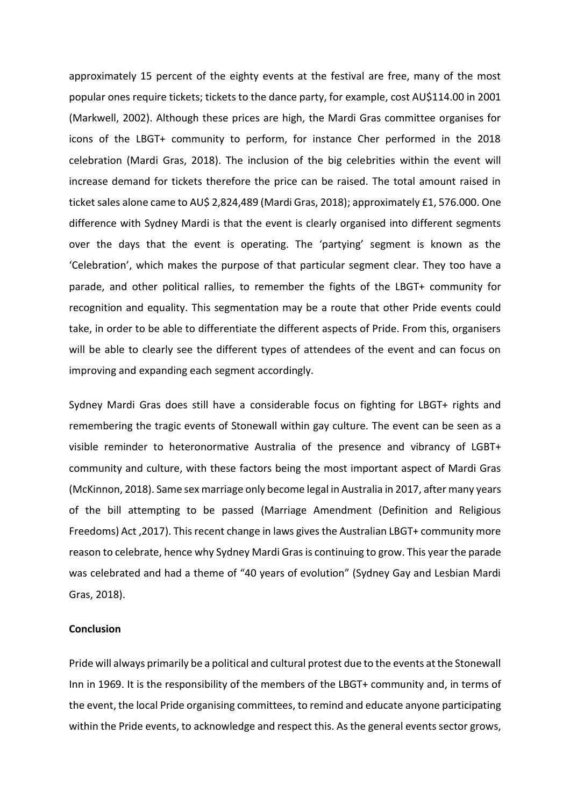approximately 15 percent of the eighty events at the festival are free, many of the most popular ones require tickets; tickets to the dance party, for example, cost AU\$114.00 in 2001 (Markwell, 2002). Although these prices are high, the Mardi Gras committee organises for icons of the LBGT+ community to perform, for instance Cher performed in the 2018 celebration (Mardi Gras, 2018). The inclusion of the big celebrities within the event will increase demand for tickets therefore the price can be raised. The total amount raised in ticket sales alone came to AU\$ 2,824,489 (Mardi Gras, 2018); approximately £1, 576.000. One difference with Sydney Mardi is that the event is clearly organised into different segments over the days that the event is operating. The 'partying' segment is known as the 'Celebration', which makes the purpose of that particular segment clear. They too have a parade, and other political rallies, to remember the fights of the LBGT+ community for recognition and equality. This segmentation may be a route that other Pride events could take, in order to be able to differentiate the different aspects of Pride. From this, organisers will be able to clearly see the different types of attendees of the event and can focus on improving and expanding each segment accordingly.

Sydney Mardi Gras does still have a considerable focus on fighting for LBGT+ rights and remembering the tragic events of Stonewall within gay culture. The event can be seen as a visible reminder to heteronormative Australia of the presence and vibrancy of LGBT+ community and culture, with these factors being the most important aspect of Mardi Gras (McKinnon, 2018). Same sex marriage only become legal in Australia in 2017, after many years of the bill attempting to be passed (Marriage Amendment (Definition and Religious Freedoms) Act ,2017). This recent change in laws gives the Australian LBGT+ community more reason to celebrate, hence why Sydney Mardi Gras is continuing to grow. This year the parade was celebrated and had a theme of "40 years of evolution" (Sydney Gay and Lesbian Mardi Gras, 2018).

### **Conclusion**

Pride will always primarily be a political and cultural protest due to the events at the Stonewall Inn in 1969. It is the responsibility of the members of the LBGT+ community and, in terms of the event, the local Pride organising committees, to remind and educate anyone participating within the Pride events, to acknowledge and respect this. As the general events sector grows,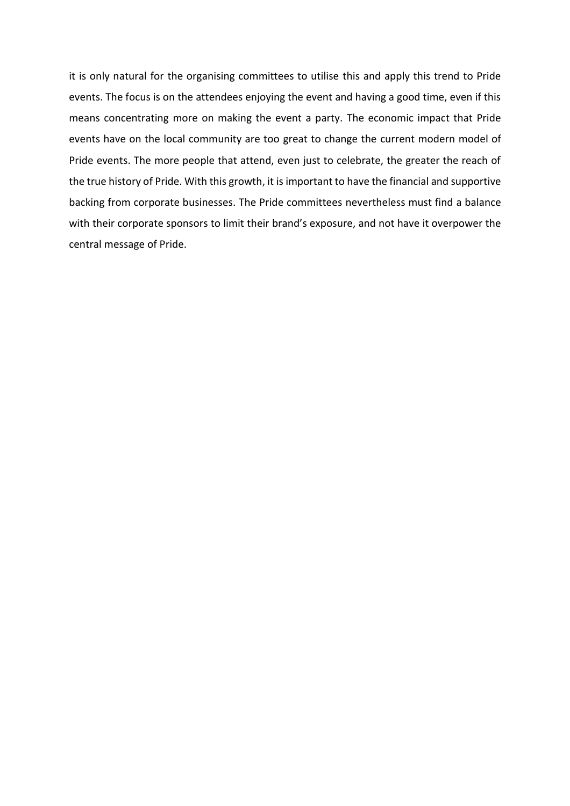it is only natural for the organising committees to utilise this and apply this trend to Pride events. The focus is on the attendees enjoying the event and having a good time, even if this means concentrating more on making the event a party. The economic impact that Pride events have on the local community are too great to change the current modern model of Pride events. The more people that attend, even just to celebrate, the greater the reach of the true history of Pride. With this growth, it is important to have the financial and supportive backing from corporate businesses. The Pride committees nevertheless must find a balance with their corporate sponsors to limit their brand's exposure, and not have it overpower the central message of Pride.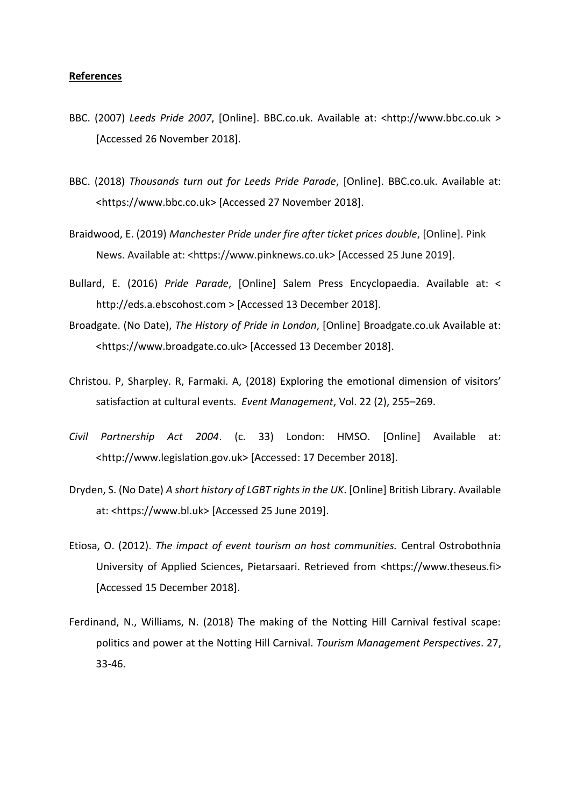#### **References**

- BBC. (2007) *Leeds Pride 2007*, [Online]. BBC.co.uk. Available at: <http://www.bbc.co.uk > [Accessed 26 November 2018].
- BBC. (2018) *Thousands turn out for Leeds Pride Parade*, [Online]. BBC.co.uk. Available at: <https://www.bbc.co.uk> [Accessed 27 November 2018].
- Braidwood, E. (2019) *Manchester Pride under fire after ticket prices double*, [Online]. Pink News. Available at: <https://www.pinknews.co.uk> [Accessed 25 June 2019].
- Bullard, E. (2016) *Pride Parade*, [Online] Salem Press Encyclopaedia. Available at: < http://eds.a.ebscohost.com > [Accessed 13 December 2018].
- Broadgate. (No Date), *The History of Pride in London*, [Online] Broadgate.co.uk Available at: <https://www.broadgate.co.uk> [Accessed 13 December 2018].
- Christou. P, Sharpley. R, Farmaki. A, (2018) Exploring the emotional dimension of visitors' satisfaction at cultural events. *Event Management*, Vol. 22 (2), 255–269.
- *Civil Partnership Act 2004*. (c. 33) London: HMSO. [Online] Available at: <http://www.legislation.gov.uk> [Accessed: 17 December 2018].
- Dryden, S. (No Date) *A short history of LGBT rights in the UK*. [Online] British Library. Available at: <https://www.bl.uk> [Accessed 25 June 2019].
- Etiosa, O. (2012). *The impact of event tourism on host communities.* Central Ostrobothnia University of Applied Sciences, Pietarsaari. Retrieved from <https://www.theseus.fi> [Accessed 15 December 2018].
- Ferdinand, N., Williams, N. (2018) The making of the Notting Hill Carnival festival scape: politics and power at the Notting Hill Carnival. *Tourism Management Perspectives*. 27, 33-46.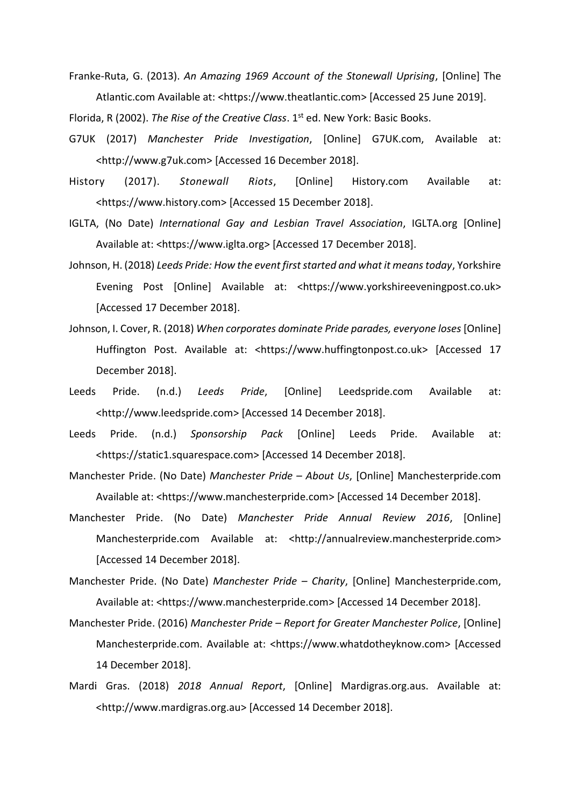Franke-Ruta, G. (2013). *An Amazing 1969 Account of the Stonewall Uprising*, [Online] The Atlantic.com Available at: <https://www.theatlantic.com> [Accessed 25 June 2019].

Florida, R (2002). *The Rise of the Creative Class*. 1st ed. New York: Basic Books.

- G7UK (2017) *Manchester Pride Investigation*, [Online] G7UK.com, Available at: <http://www.g7uk.com> [Accessed 16 December 2018].
- History (2017). *Stonewall Riots*, [Online] History.com Available at: <https://www.history.com> [Accessed 15 December 2018].
- IGLTA, (No Date) *International Gay and Lesbian Travel Association*, IGLTA.org [Online] Available at: <https://www.iglta.org> [Accessed 17 December 2018].
- Johnson, H. (2018) *Leeds Pride: How the event first started and what it means today*, Yorkshire Evening Post [Online] Available at: <https://www.yorkshireeveningpost.co.uk> [Accessed 17 December 2018].
- Johnson, I. Cover, R. (2018) *When corporates dominate Pride parades, everyone loses* [Online] Huffington Post. Available at: <https://www.huffingtonpost.co.uk> [Accessed 17 December 2018].
- Leeds Pride. (n.d.) *Leeds Pride*, [Online] Leedspride.com Available at: <http://www.leedspride.com> [Accessed 14 December 2018].
- Leeds Pride. (n.d.) *Sponsorship Pack* [Online] Leeds Pride. Available at: <https://static1.squarespace.com> [Accessed 14 December 2018].
- Manchester Pride. (No Date) *Manchester Pride – About Us*, [Online] Manchesterpride.com Available at: <https://www.manchesterpride.com> [Accessed 14 December 2018].
- Manchester Pride. (No Date) *Manchester Pride Annual Review 2016*, [Online] Manchesterpride.com Available at: <http://annualreview.manchesterpride.com> [Accessed 14 December 2018].
- Manchester Pride. (No Date) *Manchester Pride – Charity*, [Online] Manchesterpride.com, Available at: <https://www.manchesterpride.com> [Accessed 14 December 2018].
- Manchester Pride. (2016) *Manchester Pride – Report for Greater Manchester Police*, [Online] Manchesterpride.com. Available at: <https://www.whatdotheyknow.com> [Accessed 14 December 2018].
- Mardi Gras. (2018) *2018 Annual Report*, [Online] Mardigras.org.aus. Available at: <http://www.mardigras.org.au> [Accessed 14 December 2018].